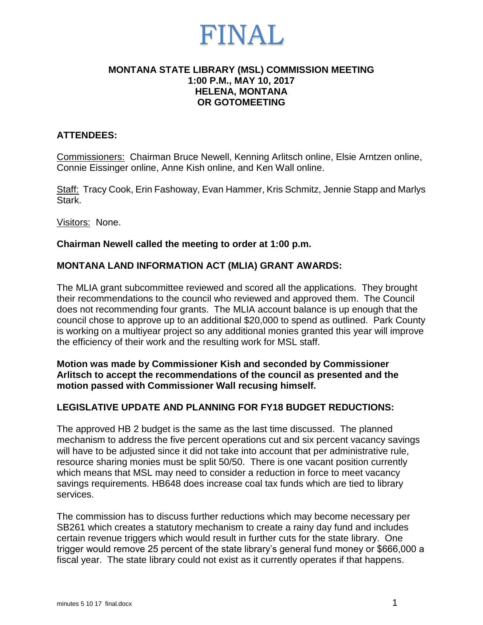### FINAL

### **MONTANA STATE LIBRARY (MSL) COMMISSION MEETING 1:00 P.M., MAY 10, 2017 HELENA, MONTANA OR GOTOMEETING**

### **ATTENDEES:**

Commissioners: Chairman Bruce Newell, Kenning Arlitsch online, Elsie Arntzen online, Connie Eissinger online, Anne Kish online, and Ken Wall online.

Staff: Tracy Cook, Erin Fashoway, Evan Hammer, Kris Schmitz, Jennie Stapp and Marlys Stark.

Visitors: None.

### **Chairman Newell called the meeting to order at 1:00 p.m.**

### **MONTANA LAND INFORMATION ACT (MLIA) GRANT AWARDS:**

The MLIA grant subcommittee reviewed and scored all the applications. They brought their recommendations to the council who reviewed and approved them. The Council does not recommending four grants. The MLIA account balance is up enough that the council chose to approve up to an additional \$20,000 to spend as outlined. Park County is working on a multiyear project so any additional monies granted this year will improve the efficiency of their work and the resulting work for MSL staff.

### **Motion was made by Commissioner Kish and seconded by Commissioner Arlitsch to accept the recommendations of the council as presented and the motion passed with Commissioner Wall recusing himself.**

### **LEGISLATIVE UPDATE AND PLANNING FOR FY18 BUDGET REDUCTIONS:**

The approved HB 2 budget is the same as the last time discussed. The planned mechanism to address the five percent operations cut and six percent vacancy savings will have to be adjusted since it did not take into account that per administrative rule, resource sharing monies must be split 50/50. There is one vacant position currently which means that MSL may need to consider a reduction in force to meet vacancy savings requirements. HB648 does increase coal tax funds which are tied to library services.

The commission has to discuss further reductions which may become necessary per SB261 which creates a statutory mechanism to create a rainy day fund and includes certain revenue triggers which would result in further cuts for the state library. One trigger would remove 25 percent of the state library's general fund money or \$666,000 a fiscal year. The state library could not exist as it currently operates if that happens.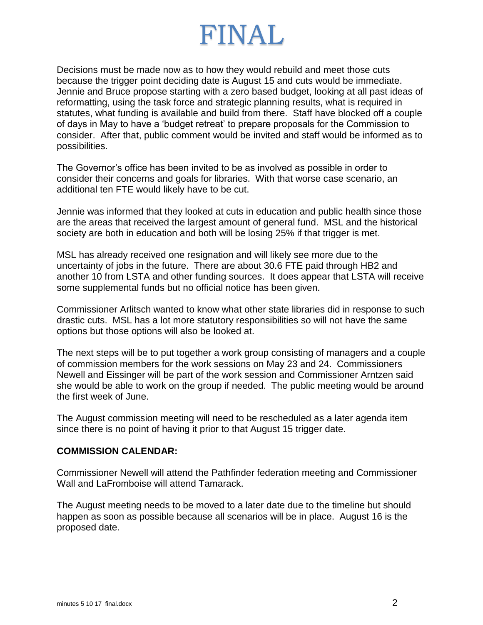# FINAL

Decisions must be made now as to how they would rebuild and meet those cuts because the trigger point deciding date is August 15 and cuts would be immediate. Jennie and Bruce propose starting with a zero based budget, looking at all past ideas of reformatting, using the task force and strategic planning results, what is required in statutes, what funding is available and build from there. Staff have blocked off a couple of days in May to have a 'budget retreat' to prepare proposals for the Commission to consider. After that, public comment would be invited and staff would be informed as to possibilities.

The Governor's office has been invited to be as involved as possible in order to consider their concerns and goals for libraries. With that worse case scenario, an additional ten FTE would likely have to be cut.

Jennie was informed that they looked at cuts in education and public health since those are the areas that received the largest amount of general fund. MSL and the historical society are both in education and both will be losing 25% if that trigger is met.

MSL has already received one resignation and will likely see more due to the uncertainty of jobs in the future. There are about 30.6 FTE paid through HB2 and another 10 from LSTA and other funding sources. It does appear that LSTA will receive some supplemental funds but no official notice has been given.

Commissioner Arlitsch wanted to know what other state libraries did in response to such drastic cuts. MSL has a lot more statutory responsibilities so will not have the same options but those options will also be looked at.

The next steps will be to put together a work group consisting of managers and a couple of commission members for the work sessions on May 23 and 24. Commissioners Newell and Eissinger will be part of the work session and Commissioner Arntzen said she would be able to work on the group if needed. The public meeting would be around the first week of June.

The August commission meeting will need to be rescheduled as a later agenda item since there is no point of having it prior to that August 15 trigger date.

### **COMMISSION CALENDAR:**

Commissioner Newell will attend the Pathfinder federation meeting and Commissioner Wall and LaFromboise will attend Tamarack.

The August meeting needs to be moved to a later date due to the timeline but should happen as soon as possible because all scenarios will be in place. August 16 is the proposed date.